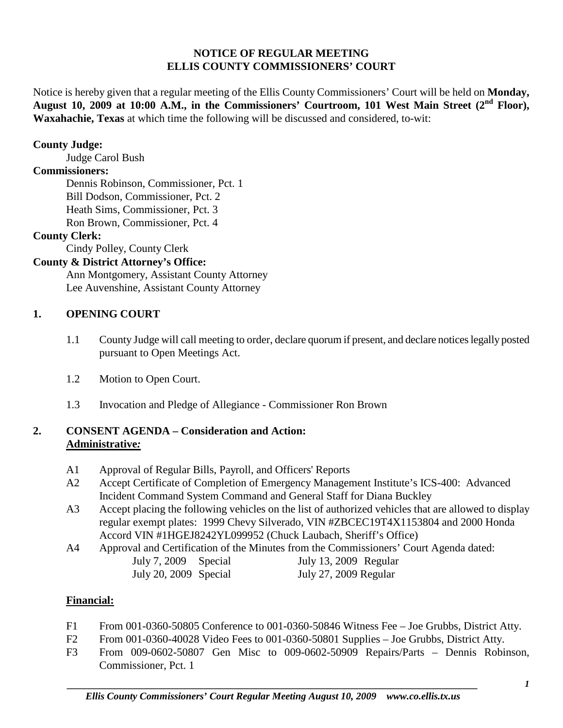### **NOTICE OF REGULAR MEETING ELLIS COUNTY COMMISSIONERS' COURT**

Notice is hereby given that a regular meeting of the Ellis County Commissioners' Court will be held on **Monday, August 10, 2009 at 10:00 A.M., in the Commissioners' Courtroom, 101 West Main Street (2nd Floor), Waxahachie, Texas** at which time the following will be discussed and considered, to-wit:

### **County Judge:**

Judge Carol Bush

# **Commissioners:**

Dennis Robinson, Commissioner, Pct. 1 Bill Dodson, Commissioner, Pct. 2 Heath Sims, Commissioner, Pct. 3 Ron Brown, Commissioner, Pct. 4

### **County Clerk:**

Cindy Polley, County Clerk

# **County & District Attorney's Office:**

Ann Montgomery, Assistant County Attorney Lee Auvenshine, Assistant County Attorney

# **1. OPENING COURT**

- 1.1 County Judge will call meeting to order, declare quorum if present, and declare notices legally posted pursuant to Open Meetings Act.
- 1.2 Motion to Open Court.
- 1.3 Invocation and Pledge of Allegiance Commissioner Ron Brown

### **2. CONSENT AGENDA – Consideration and Action: Administrative***:*

- A1 Approval of Regular Bills, Payroll, and Officers' Reports
- A2 Accept Certificate of Completion of Emergency Management Institute's ICS-400: Advanced Incident Command System Command and General Staff for Diana Buckley
- A3 Accept placing the following vehicles on the list of authorized vehicles that are allowed to display regular exempt plates: 1999 Chevy Silverado, VIN #ZBCEC19T4X1153804 and 2000 Honda Accord VIN #1HGEJ8242YL099952 (Chuck Laubach, Sheriff's Office)
- A4 Approval and Certification of the Minutes from the Commissioners' Court Agenda dated:<br>July 7, 2009 Special July 13, 2009 Regular July 7, 2009 Special July 13, 2009 Regular July 20, 2009 Special July 27, 2009 Regular

### **Financial:**

- F1 From 001-0360-50805 Conference to 001-0360-50846 Witness Fee Joe Grubbs, District Atty.
- F2 From 001-0360-40028 Video Fees to 001-0360-50801 Supplies Joe Grubbs, District Atty.
- F3 From 009-0602-50807 Gen Misc to 009-0602-50909 Repairs/Parts Dennis Robinson, Commissioner, Pct. 1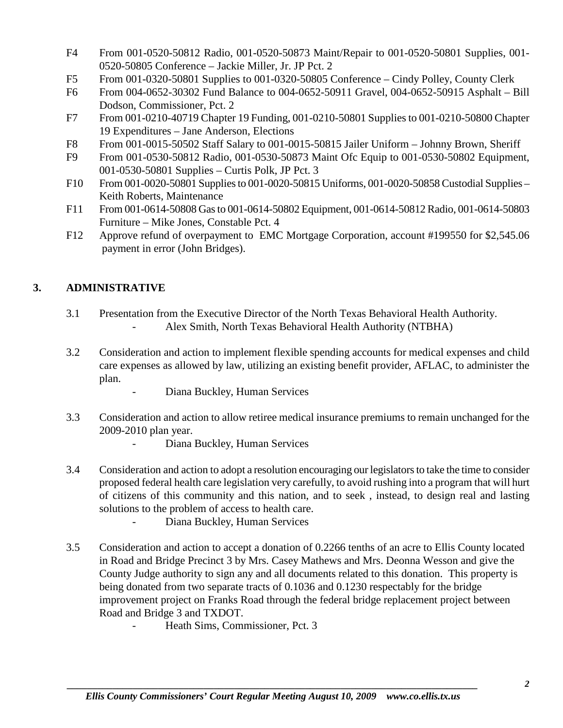- F4 From 001-0520-50812 Radio, 001-0520-50873 Maint/Repair to 001-0520-50801 Supplies, 001- 0520-50805 Conference – Jackie Miller, Jr. JP Pct. 2
- F5 From 001-0320-50801 Supplies to 001-0320-50805 Conference Cindy Polley, County Clerk
- F6 From 004-0652-30302 Fund Balance to 004-0652-50911 Gravel, 004-0652-50915 Asphalt Bill Dodson, Commissioner, Pct. 2
- F7 From 001-0210-40719 Chapter 19 Funding, 001-0210-50801 Supplies to 001-0210-50800 Chapter 19 Expenditures – Jane Anderson, Elections
- F8 From 001-0015-50502 Staff Salary to 001-0015-50815 Jailer Uniform Johnny Brown, Sheriff
- F9 From 001-0530-50812 Radio, 001-0530-50873 Maint Ofc Equip to 001-0530-50802 Equipment, 001-0530-50801 Supplies – Curtis Polk, JP Pct. 3
- F10 From 001-0020-50801 Supplies to 001-0020-50815 Uniforms, 001-0020-50858 Custodial Supplies Keith Roberts, Maintenance
- F11 From 001-0614-50808 Gas to 001-0614-50802 Equipment, 001-0614-50812 Radio, 001-0614-50803 Furniture – Mike Jones, Constable Pct. 4
- F12 Approve refund of overpayment to EMC Mortgage Corporation, account #199550 for \$2,545.06 payment in error (John Bridges).

# **3. ADMINISTRATIVE**

- 3.1 Presentation from the Executive Director of the North Texas Behavioral Health Authority. Alex Smith, North Texas Behavioral Health Authority (NTBHA)
- 3.2 Consideration and action to implement flexible spending accounts for medical expenses and child care expenses as allowed by law, utilizing an existing benefit provider, AFLAC, to administer the plan.
	- Diana Buckley, Human Services
- 3.3 Consideration and action to allow retiree medical insurance premiums to remain unchanged for the 2009-2010 plan year.
	- Diana Buckley, Human Services
- 3.4 Consideration and action to adopt a resolution encouraging our legislators to take the time to consider proposed federal health care legislation very carefully, to avoid rushing into a program that will hurt of citizens of this community and this nation, and to seek , instead, to design real and lasting solutions to the problem of access to health care.
	- Diana Buckley, Human Services
- 3.5 Consideration and action to accept a donation of 0.2266 tenths of an acre to Ellis County located in Road and Bridge Precinct 3 by Mrs. Casey Mathews and Mrs. Deonna Wesson and give the County Judge authority to sign any and all documents related to this donation. This property is being donated from two separate tracts of 0.1036 and 0.1230 respectably for the bridge improvement project on Franks Road through the federal bridge replacement project between Road and Bridge 3 and TXDOT.
	- Heath Sims, Commissioner, Pct. 3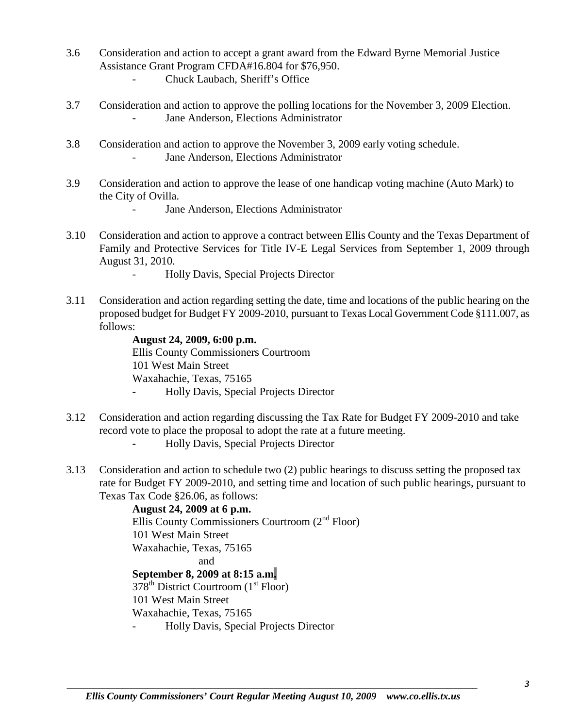- 3.6 Consideration and action to accept a grant award from the Edward Byrne Memorial Justice Assistance Grant Program CFDA#16.804 for \$76,950.
	- Chuck Laubach, Sheriff's Office
- 3.7 Consideration and action to approve the polling locations for the November 3, 2009 Election. - Jane Anderson, Elections Administrator
- 3.8 Consideration and action to approve the November 3, 2009 early voting schedule. - Jane Anderson, Elections Administrator
- 3.9 Consideration and action to approve the lease of one handicap voting machine (Auto Mark) to the City of Ovilla.
	- Jane Anderson, Elections Administrator
- 3.10 Consideration and action to approve a contract between Ellis County and the Texas Department of Family and Protective Services for Title IV-E Legal Services from September 1, 2009 through August 31, 2010.
	- Holly Davis, Special Projects Director
- 3.11 Consideration and action regarding setting the date, time and locations of the public hearing on the proposed budget for Budget FY 2009-2010, pursuant to Texas Local Government Code §111.007, as follows:

**August 24, 2009, 6:00 p.m.** Ellis County Commissioners Courtroom 101 West Main Street Waxahachie, Texas, 75165 - Holly Davis, Special Projects Director

- 3.12 Consideration and action regarding discussing the Tax Rate for Budget FY 2009-2010 and take record vote to place the proposal to adopt the rate at a future meeting.
	- **-** Holly Davis, Special Projects Director
- 3.13 Consideration and action to schedule two (2) public hearings to discuss setting the proposed tax rate for Budget FY 2009-2010, and setting time and location of such public hearings, pursuant to Texas Tax Code §26.06, as follows:

**August 24, 2009 at 6 p.m.** Ellis County Commissioners Courtroom (2nd Floor) 101 West Main Street Waxahachie, Texas, 75165 and **September 8, 2009 at 8:15 a.m.**  $378<sup>th</sup>$  District Courtroom (1<sup>st</sup> Floor) 101 West Main Street Waxahachie, Texas, 75165 - Holly Davis, Special Projects Director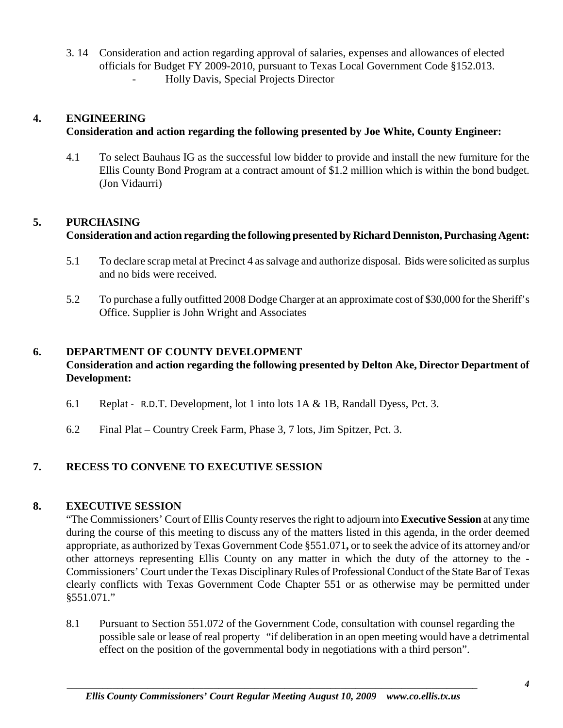3. 14 Consideration and action regarding approval of salaries, expenses and allowances of elected officials for Budget FY 2009-2010, pursuant to Texas Local Government Code §152.013. - Holly Davis, Special Projects Director

### **4. ENGINEERING**

### **Consideration and action regarding the following presented by Joe White, County Engineer:**

4.1 To select Bauhaus IG as the successful low bidder to provide and install the new furniture for the Ellis County Bond Program at a contract amount of \$1.2 million which is within the bond budget. (Jon Vidaurri)

# **5. PURCHASING**

# **Consideration and action regarding the following presented by Richard Denniston, Purchasing Agent:**

- 5.1 To declare scrap metal at Precinct 4 as salvage and authorize disposal. Bids were solicited as surplus and no bids were received.
- 5.2 To purchase a fully outfitted 2008 Dodge Charger at an approximate cost of \$30,000 for the Sheriff's Office. Supplier is John Wright and Associates

# **6. DEPARTMENT OF COUNTY DEVELOPMENT**

### **Consideration and action regarding the following presented by Delton Ake, Director Department of Development:**

- 6.1 Replat R.D.T. Development, lot 1 into lots 1A & 1B, Randall Dyess, Pct. 3.
- 6.2 Final Plat Country Creek Farm, Phase 3, 7 lots, Jim Spitzer, Pct. 3.

# **7. RECESS TO CONVENE TO EXECUTIVE SESSION**

### **8. EXECUTIVE SESSION**

"The Commissioners' Court of Ellis County reserves the right to adjourn into **Executive Session** at any time during the course of this meeting to discuss any of the matters listed in this agenda, in the order deemed appropriate, as authorized by Texas Government Code §551.071**,** or to seek the advice of its attorney and/or other attorneys representing Ellis County on any matter in which the duty of the attorney to the - Commissioners' Court under the Texas Disciplinary Rules of Professional Conduct of the State Bar of Texas clearly conflicts with Texas Government Code Chapter 551 or as otherwise may be permitted under §551.071."

8.1 Pursuant to Section 551.072 of the Government Code, consultation with counsel regarding the possible sale or lease of real property "if deliberation in an open meeting would have a detrimental effect on the position of the governmental body in negotiations with a third person".